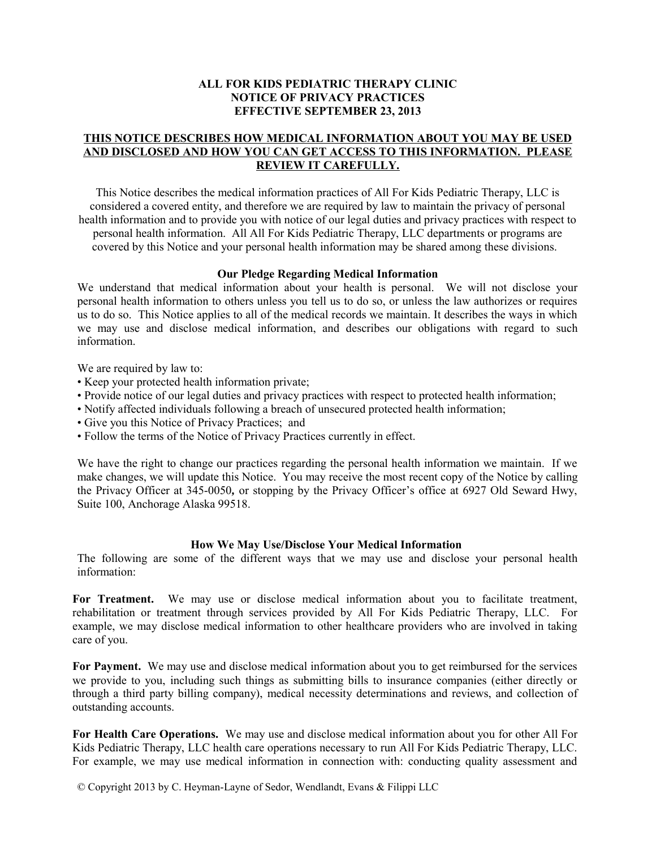### **ALL FOR KIDS PEDIATRIC THERAPY CLINIC NOTICE OF PRIVACY PRACTICES EFFECTIVE SEPTEMBER 23, 2013**

# **THIS NOTICE DESCRIBES HOW MEDICAL INFORMATION ABOUT YOU MAY BE USED AND DISCLOSED AND HOW YOU CAN GET ACCESS TO THIS INFORMATION. PLEASE REVIEW IT CAREFULLY.**

This Notice describes the medical information practices of All For Kids Pediatric Therapy, LLC is considered a covered entity, and therefore we are required by law to maintain the privacy of personal health information and to provide you with notice of our legal duties and privacy practices with respect to personal health information. All All For Kids Pediatric Therapy, LLC departments or programs are covered by this Notice and your personal health information may be shared among these divisions.

### **Our Pledge Regarding Medical Information**

We understand that medical information about your health is personal. We will not disclose your personal health information to others unless you tell us to do so, or unless the law authorizes or requires us to do so. This Notice applies to all of the medical records we maintain. It describes the ways in which we may use and disclose medical information, and describes our obligations with regard to such information.

We are required by law to:

- Keep your protected health information private;
- Provide notice of our legal duties and privacy practices with respect to protected health information;
- Notify affected individuals following a breach of unsecured protected health information;
- Give you this Notice of Privacy Practices; and
- Follow the terms of the Notice of Privacy Practices currently in effect.

We have the right to change our practices regarding the personal health information we maintain. If we make changes, we will update this Notice. You may receive the most recent copy of the Notice by calling the Privacy Officer at 345-0050*,* or stopping by the Privacy Officer's office at 6927 Old Seward Hwy, Suite 100, Anchorage Alaska 99518.

#### **How We May Use/Disclose Your Medical Information**

The following are some of the different ways that we may use and disclose your personal health information:

For Treatment. We may use or disclose medical information about you to facilitate treatment, rehabilitation or treatment through services provided by All For Kids Pediatric Therapy, LLC. For example, we may disclose medical information to other healthcare providers who are involved in taking care of you.

**For Payment.** We may use and disclose medical information about you to get reimbursed for the services we provide to you, including such things as submitting bills to insurance companies (either directly or through a third party billing company), medical necessity determinations and reviews, and collection of outstanding accounts.

**For Health Care Operations.** We may use and disclose medical information about you for other All For Kids Pediatric Therapy, LLC health care operations necessary to run All For Kids Pediatric Therapy, LLC. For example, we may use medical information in connection with: conducting quality assessment and

© Copyright 2013 by C. Heyman-Layne of Sedor, Wendlandt, Evans & Filippi LLC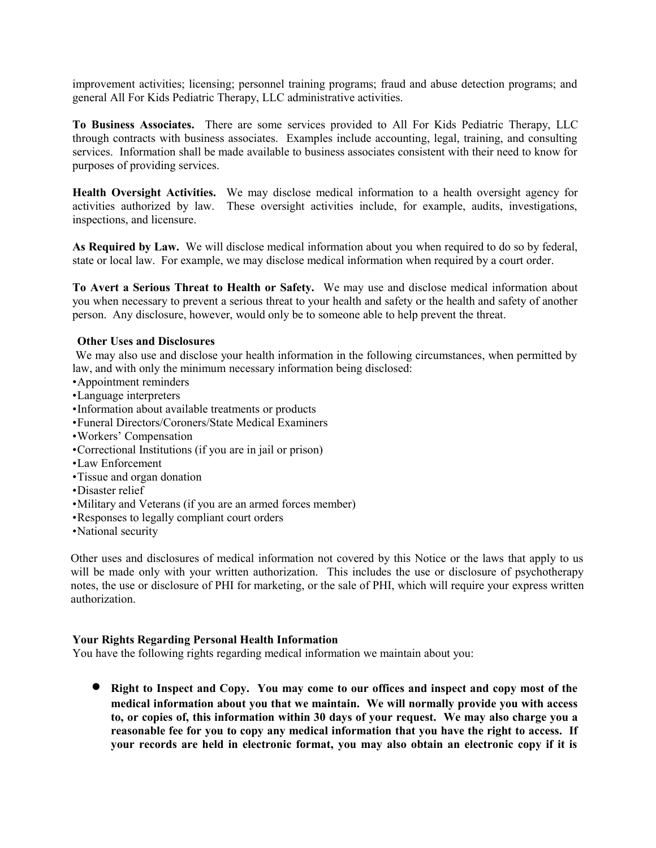improvement activities; licensing; personnel training programs; fraud and abuse detection programs; and general All For Kids Pediatric Therapy, LLC administrative activities.

**To Business Associates.** There are some services provided to All For Kids Pediatric Therapy, LLC through contracts with business associates. Examples include accounting, legal, training, and consulting services. Information shall be made available to business associates consistent with their need to know for purposes of providing services.

**Health Oversight Activities.** We may disclose medical information to a health oversight agency for activities authorized by law. These oversight activities include, for example, audits, investigations, inspections, and licensure.

**As Required by Law.** We will disclose medical information about you when required to do so by federal, state or local law. For example, we may disclose medical information when required by a court order.

**To Avert a Serious Threat to Health or Safety.** We may use and disclose medical information about you when necessary to prevent a serious threat to your health and safety or the health and safety of another person. Any disclosure, however, would only be to someone able to help prevent the threat.

## **Other Uses and Disclosures**

We may also use and disclose your health information in the following circumstances, when permitted by law, and with only the minimum necessary information being disclosed:

- •Appointment reminders
- •Language interpreters
- •Information about available treatments or products
- •Funeral Directors/Coroners/State Medical Examiners
- •Workers' Compensation
- •Correctional Institutions (if you are in jail or prison)
- •Law Enforcement
- •Tissue and organ donation
- •Disaster relief
- •Military and Veterans (if you are an armed forces member)
- •Responses to legally compliant court orders
- •National security

Other uses and disclosures of medical information not covered by this Notice or the laws that apply to us will be made only with your written authorization. This includes the use or disclosure of psychotherapy notes, the use or disclosure of PHI for marketing, or the sale of PHI, which will require your express written authorization.

## **Your Rights Regarding Personal Health Information**

You have the following rights regarding medical information we maintain about you:

 **Right to Inspect and Copy. You may come to our offices and inspect and copy most of the medical information about you that we maintain. We will normally provide you with access to, or copies of, this information within 30 days of your request. We may also charge you a reasonable fee for you to copy any medical information that you have the right to access. If your records are held in electronic format, you may also obtain an electronic copy if it is**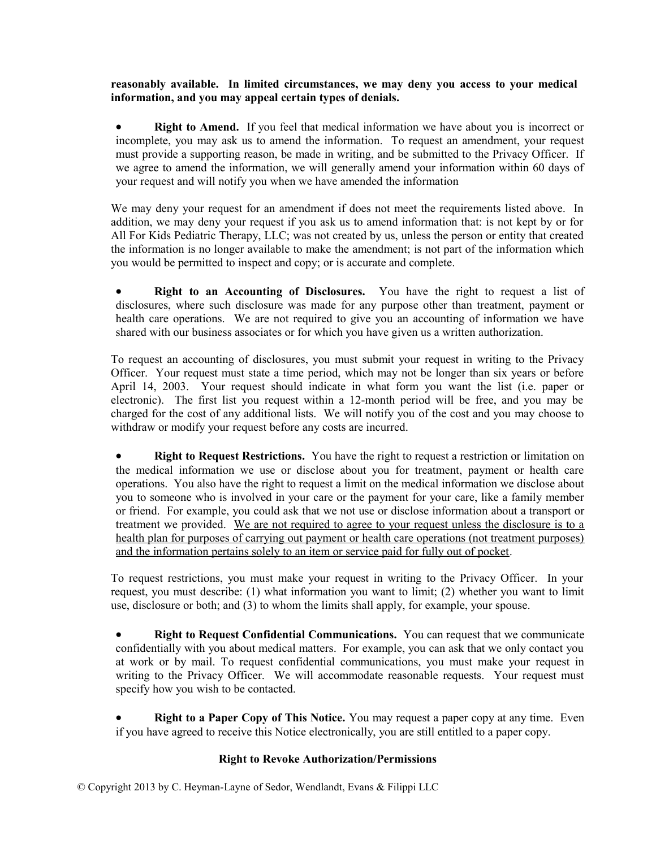# **reasonably available. In limited circumstances, we may deny you access to your medical information, and you may appeal certain types of denials.**

 **Right to Amend.** If you feel that medical information we have about you is incorrect or incomplete, you may ask us to amend the information. To request an amendment, your request must provide a supporting reason, be made in writing, and be submitted to the Privacy Officer. If we agree to amend the information, we will generally amend your information within 60 days of your request and will notify you when we have amended the information

We may deny your request for an amendment if does not meet the requirements listed above. In addition, we may deny your request if you ask us to amend information that: is not kept by or for All For Kids Pediatric Therapy, LLC; was not created by us, unless the person or entity that created the information is no longer available to make the amendment; is not part of the information which you would be permitted to inspect and copy; or is accurate and complete.

 **Right to an Accounting of Disclosures.** You have the right to request a list of disclosures, where such disclosure was made for any purpose other than treatment, payment or health care operations. We are not required to give you an accounting of information we have shared with our business associates or for which you have given us a written authorization.

To request an accounting of disclosures, you must submit your request in writing to the Privacy Officer. Your request must state a time period, which may not be longer than six years or before April 14, 2003. Your request should indicate in what form you want the list (i.e. paper or electronic). The first list you request within a 12-month period will be free, and you may be charged for the cost of any additional lists. We will notify you of the cost and you may choose to withdraw or modify your request before any costs are incurred.

 **Right to Request Restrictions.** You have the right to request a restriction or limitation on the medical information we use or disclose about you for treatment, payment or health care operations. You also have the right to request a limit on the medical information we disclose about you to someone who is involved in your care or the payment for your care, like a family member or friend. For example, you could ask that we not use or disclose information about a transport or treatment we provided. We are not required to agree to your request unless the disclosure is to a health plan for purposes of carrying out payment or health care operations (not treatment purposes) and the information pertains solely to an item or service paid for fully out of pocket.

To request restrictions, you must make your request in writing to the Privacy Officer. In your request, you must describe: (1) what information you want to limit; (2) whether you want to limit use, disclosure or both; and (3) to whom the limits shall apply, for example, your spouse.

 **Right to Request Confidential Communications.** You can request that we communicate confidentially with you about medical matters. For example, you can ask that we only contact you at work or by mail. To request confidential communications, you must make your request in writing to the Privacy Officer. We will accommodate reasonable requests. Your request must specify how you wish to be contacted.

 **Right to a Paper Copy of This Notice.** You may request a paper copy at any time. Even if you have agreed to receive this Notice electronically, you are still entitled to a paper copy.

# **Right to Revoke Authorization/Permissions**